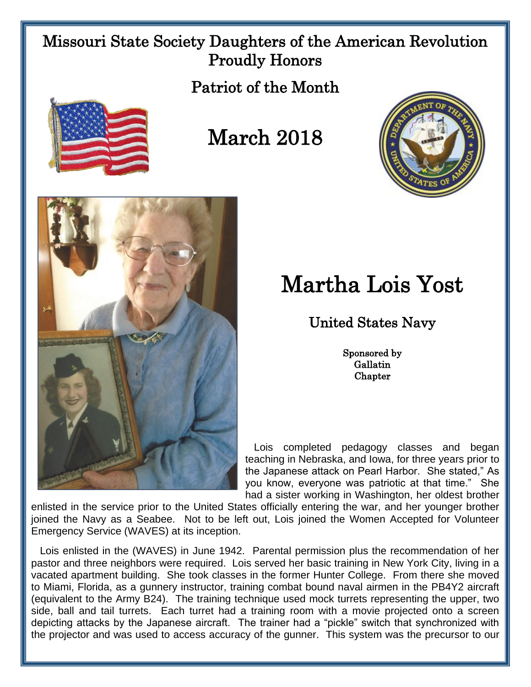## Missouri State Society Daughters of the American Revolution Proudly Honors

Patriot of the Month



## March 2018





## Martha Lois Yost

## United States Navy

Sponsored by Gallatin **Chapter** 

 Lois completed pedagogy classes and began teaching in Nebraska, and Iowa, for three years prior to the Japanese attack on Pearl Harbor. She stated," As you know, everyone was patriotic at that time." She had a sister working in Washington, her oldest brother

enlisted in the service prior to the United States officially entering the war, and her younger brother joined the Navy as a Seabee. Not to be left out, Lois joined the Women Accepted for Volunteer Emergency Service (WAVES) at its inception.

 Lois enlisted in the (WAVES) in June 1942. Parental permission plus the recommendation of her pastor and three neighbors were required. Lois served her basic training in New York City, living in a vacated apartment building. She took classes in the former Hunter College. From there she moved to Miami, Florida, as a gunnery instructor, training combat bound naval airmen in the PB4Y2 aircraft (equivalent to the Army B24). The training technique used mock turrets representing the upper, two side, ball and tail turrets. Each turret had a training room with a movie projected onto a screen depicting attacks by the Japanese aircraft. The trainer had a "pickle" switch that synchronized with the projector and was used to access accuracy of the gunner. This system was the precursor to our